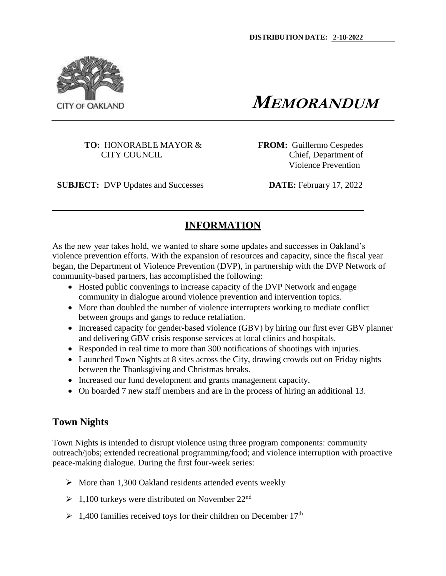

**MEMORANDUM**

**TO:** HONORABLE MAYOR & **FROM:** Guillermo Cespedes

CITY COUNCIL CITY COUNCIL Violence Prevention

**SUBJECT:** DVP Updates and Successes **DATE:** February 17, 2022

# **INFORMATION**

As the new year takes hold, we wanted to share some updates and successes in Oakland's violence prevention efforts. With the expansion of resources and capacity, since the fiscal year began, the Department of Violence Prevention (DVP), in partnership with the DVP Network of community-based partners, has accomplished the following:

- Hosted public convenings to increase capacity of the DVP Network and engage community in dialogue around violence prevention and intervention topics.
- More than doubled the number of violence interrupters working to mediate conflict between groups and gangs to reduce retaliation.
- Increased capacity for gender-based violence (GBV) by hiring our first ever GBV planner and delivering GBV crisis response services at local clinics and hospitals.
- Responded in real time to more than 300 notifications of shootings with injuries.
- Launched Town Nights at 8 sites across the City, drawing crowds out on Friday nights between the Thanksgiving and Christmas breaks.
- Increased our fund development and grants management capacity.
- On boarded 7 new staff members and are in the process of hiring an additional 13.

# **Town Nights**

Town Nights is intended to disrupt violence using three program components: community outreach/jobs; extended recreational programming/food; and violence interruption with proactive peace-making dialogue. During the first four-week series:

- $\triangleright$  More than 1,300 Oakland residents attended events weekly
- $\geq 1,100$  turkeys were distributed on November 22<sup>nd</sup>
- $\geq 1,400$  families received toys for their children on December 17<sup>th</sup>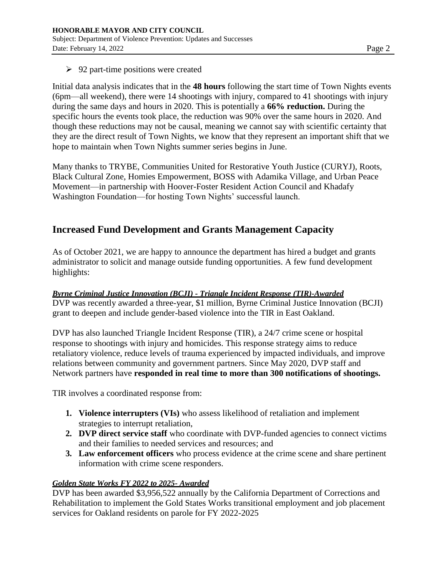$\geq$  92 part-time positions were created

Initial data analysis indicates that in the **48 hours** following the start time of Town Nights events (6pm—all weekend), there were 14 shootings with injury, compared to 41 shootings with injury during the same days and hours in 2020. This is potentially a **66% reduction.** During the specific hours the events took place, the reduction was 90% over the same hours in 2020. And though these reductions may not be causal, meaning we cannot say with scientific certainty that they are the direct result of Town Nights, we know that they represent an important shift that we hope to maintain when Town Nights summer series begins in June.

Many thanks to TRYBE, Communities United for Restorative Youth Justice (CURYJ), Roots, Black Cultural Zone, Homies Empowerment, BOSS with Adamika Village, and Urban Peace Movement—in partnership with Hoover-Foster Resident Action Council and Khadafy Washington Foundation—for hosting Town Nights' successful launch.

## **Increased Fund Development and Grants Management Capacity**

As of October 2021, we are happy to announce the department has hired a budget and grants administrator to solicit and manage outside funding opportunities. A few fund development highlights:

*Byrne Criminal Justice Innovation (BCJI) - Triangle Incident Response (TIR)-Awarded* DVP was recently awarded a three-year, \$1 million, Byrne Criminal Justice Innovation (BCJI) grant to deepen and include gender-based violence into the TIR in East Oakland.

DVP has also launched Triangle Incident Response (TIR), a 24/7 crime scene or hospital response to shootings with injury and homicides. This response strategy aims to reduce retaliatory violence, reduce levels of trauma experienced by impacted individuals, and improve relations between community and government partners. Since May 2020, DVP staff and Network partners have **responded in real time to more than 300 notifications of shootings.**

TIR involves a coordinated response from:

- **1. Violence interrupters (VIs)** who assess likelihood of retaliation and implement strategies to interrupt retaliation,
- **2. DVP direct service staff** who coordinate with DVP-funded agencies to connect victims and their families to needed services and resources; and
- **3. Law enforcement officers** who process evidence at the crime scene and share pertinent information with crime scene responders.

#### *Golden State Works FY 2022 to 2025- Awarded*

DVP has been awarded \$3,956,522 annually by the California Department of Corrections and Rehabilitation to implement the Gold States Works transitional employment and job placement services for Oakland residents on parole for FY 2022-2025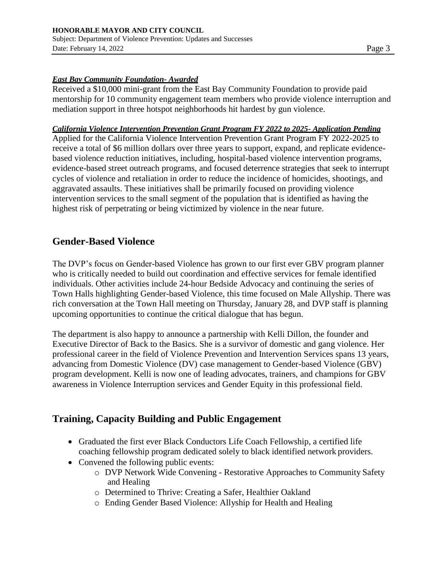#### *East Bay Community Foundation- Awarded*

Received a \$10,000 mini-grant from the East Bay Community Foundation to provide paid mentorship for 10 community engagement team members who provide violence interruption and mediation support in three hotspot neighborhoods hit hardest by gun violence.

#### *California Violence Intervention Prevention Grant Program FY 2022 to 2025- Application Pending*

Applied for the California Violence Intervention Prevention Grant Program FY 2022-2025 to receive a total of \$6 million dollars over three years to support, expand, and replicate evidencebased violence reduction initiatives, including, hospital-based violence intervention programs, evidence-based street outreach programs, and focused deterrence strategies that seek to interrupt cycles of violence and retaliation in order to reduce the incidence of homicides, shootings, and aggravated assaults. These initiatives shall be primarily focused on providing violence intervention services to the small segment of the population that is identified as having the highest risk of perpetrating or being victimized by violence in the near future.

### **Gender-Based Violence**

The DVP's focus on Gender-based Violence has grown to our first ever GBV program planner who is critically needed to build out coordination and effective services for female identified individuals. Other activities include 24-hour Bedside Advocacy and continuing the series of Town Halls highlighting Gender-based Violence, this time focused on Male Allyship. There was rich conversation at the Town Hall meeting on Thursday, January 28, and DVP staff is planning upcoming opportunities to continue the critical dialogue that has begun.

The department is also happy to announce a partnership with Kelli Dillon, the founder and Executive Director of Back to the Basics. She is a survivor of domestic and gang violence. Her professional career in the field of Violence Prevention and Intervention Services spans 13 years, advancing from Domestic Violence (DV) case management to Gender-based Violence (GBV) program development. Kelli is now one of leading advocates, trainers, and champions for GBV awareness in Violence Interruption services and Gender Equity in this professional field.

## **Training, Capacity Building and Public Engagement**

- Graduated the first ever Black Conductors Life Coach Fellowship, a certified life coaching fellowship program dedicated solely to black identified network providers.
- Convened the following public events:
	- o DVP Network Wide Convening Restorative Approaches to Community Safety and Healing
	- o Determined to Thrive: Creating a Safer, Healthier Oakland
	- o Ending Gender Based Violence: Allyship for Health and Healing